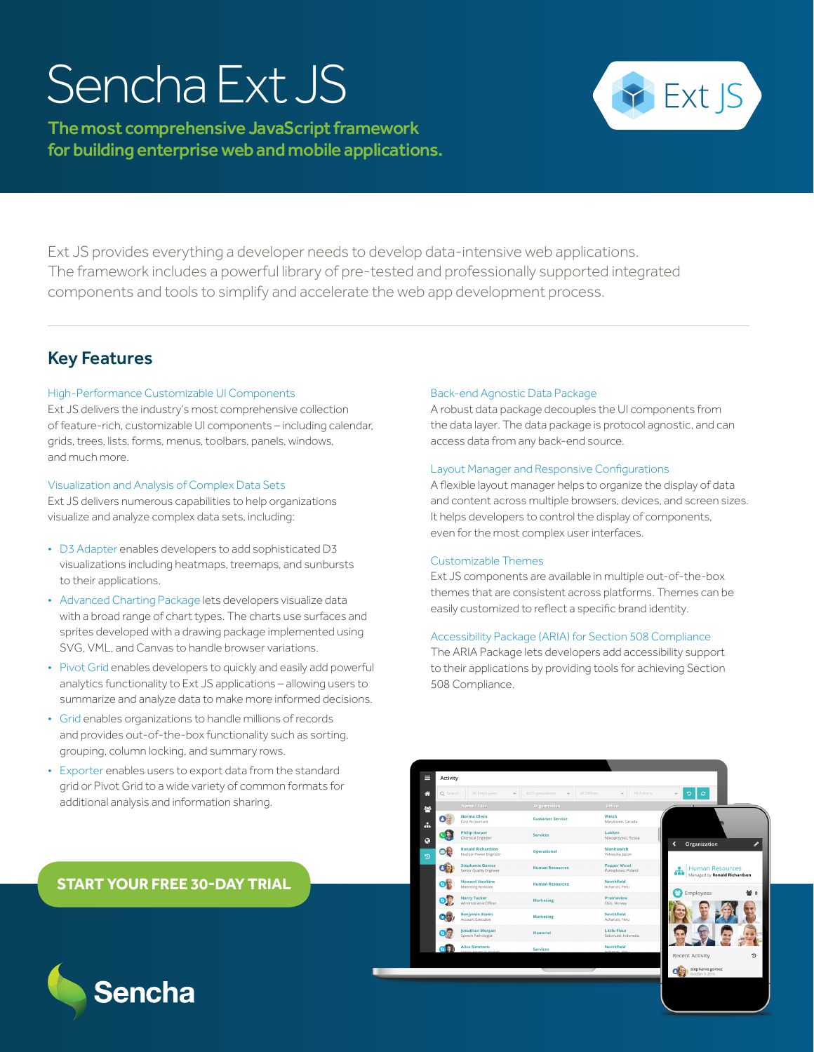# Sencha Ext JS

The most comprehensive JavaScript framework for building enterprise web and mobile applications.



Ext JS provides everything a developer needs to develop data-intensive web applications. The framework includes a powerful library of pre-tested and professionally supported integrated components and tools to simplify and accelerate the web app development process.

## Key Features

## High-Performance Customizable UI Components

Ext JS delivers the industry's most comprehensive collection of feature-rich, customizable UI components – including calendar, grids, trees, lists, forms, menus, toolbars, panels, windows, and much more.

### Visualization and Analysis of Complex Data Sets

Ext JS delivers numerous capabilities to help organizations visualize and analyze complex data sets, including:

- D3 Adapter enables developers to add sophisticated D3 visualizations including heatmaps, treemaps, and sunbursts to their applications.
- Advanced Charting Package lets developers visualize data with a broad range of chart types. The charts use surfaces and sprites developed with a drawing package implemented using SVG, VML, and Canvas to handle browser variations.
- Pivot Grid enables developers to quickly and easily add powerful analytics functionality to Ext JS applications – allowing users to summarize and analyze data to make more informed decisions.
- Grid enables organizations to handle millions of records and provides out-of-the-box functionality such as sorting, grouping, column locking, and summary rows.
- Exporter enables users to export data from the standard grid or Pivot Grid to a wide variety of common formats for additional analysis and information sharing.

Visit www.sencha.com to start your

## Back-end Agnostic Data Package

A robust data package decouples the UI components from the data layer. The data package is protocol agnostic, and can access data from any back-end source.

### Layout Manager and Responsive Configurations

A flexible layout manager helps to organize the display of data and content across multiple browsers, devices, and screen sizes. It helps developers to control the display of components, even for the most complex user interfaces.

## Customizable Themes

Norma Olson Philip Harper

**Ronald Richardson**<br>Nuclear Power Foring

Stephanie Gomez

**ONE Howard Hawkins** Harry Tucker

**CONTRACTOR** Benjamin Bank

Jonathan Morga **Calcular** Alice Si

**OB** 

Ext JS components are available in multiple out-of-the-box themes that are consistent across platforms. Themes can be easily customized to reflect a specific brand identity.

## Accessibility Package (ARIA) for Section 508 Compliance

The ARIA Package lets developers add accessibility support to their applications by providing tools for achieving Section 508 Compliance.

**Welch**<br>Marystown, Canada

Manitowish<br>Yokosuka, Japar

Northfield<br>Achanizo, Peru

Prairieview<br>Oslo, Norway

Little Fleur<br>Sidomulti Indi

 $\sigma$ 

< Organization

nt Activity  $\mathbf{q}$ 

## **[START YOUR FREE 30-DAY TRIAL](https://www.sencha.com/products/extjs/evaluate/)**